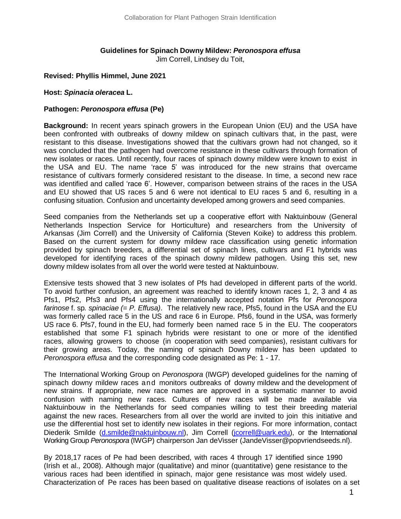# **Guidelines for Spinach Downy Mildew:** *Peronospora effusa*

Jim Correll, Lindsey du Toit,

#### **Revised: Phyllis Himmel, June 2021**

#### **Host:** *Spinacia oleracea* **L.**

#### **Pathogen:** *Peronospora effusa* **(Pe)**

**Background:** In recent years spinach growers in the European Union (EU) and the USA have been confronted with outbreaks of downy mildew on spinach cultivars that, in the past, were resistant to this disease. Investigations showed that the cultivars grown had not changed, so it was concluded that the pathogen had overcome resistance in these cultivars through formation of new isolates or races. Until recently, four races of spinach downy mildew were known to exist in the USA and EU. The name 'race 5' was introduced for the new strains that overcame resistance of cultivars formerly considered resistant to the disease. In time, a second new race was identified and called 'race 6'. However, comparison between strains of the races in the USA and EU showed that US races 5 and 6 were not identical to EU races 5 and 6, resulting in a confusing situation. Confusion and uncertainty developed among growers and seed companies.

Seed companies from the Netherlands set up a cooperative effort with Naktuinbouw (General Netherlands Inspection Service for Horticulture) and researchers from the University of Arkansas (Jim Correll) and the University of California (Steven Koike) to address this problem. Based on the current system for downy mildew race classification using genetic information provided by spinach breeders, a differential set of spinach lines, cultivars and F1 hybrids was developed for identifying races of the spinach downy mildew pathogen. Using this set, new downy mildew isolates from all over the world were tested at Naktuinbouw.

Extensive tests showed that 3 new isolates of Pfs had developed in different parts of the world. To avoid further confusion, an agreement was reached to identify known races 1, 2, 3 and 4 as Pfs1, Pfs2, Pfs3 and Pfs4 using the internationally accepted notation Pfs for *Peronospora farinose* f. sp*. spinaciae (*= *P. Effusa)*. The relatively new race, Pfs5, found in the USA and the EU was formerly called race 5 in the US and race 6 in Europe. Pfs6, found in the USA, was formerly US race 6. Pfs7, found in the EU, had formerly been named race 5 in the EU. The cooperators established that some F1 spinach hybrids were resistant to one or more of the identified races, allowing growers to choose (in cooperation with seed companies), resistant cultivars for their growing areas. Today, the naming of spinach Downy mildew has been updated to *Peronospora effusa* and the corresponding code designated as Pe: 1 - 17.

The International Working Group on *Peronospora* (IWGP) developed guidelines for the naming of spinach downy mildew races and monitors outbreaks of downy mildew and the development of new strains. If appropriate, new race names are approved in a systematic manner to avoid confusion with naming new races. Cultures of new races will be made available via Naktuinbouw in the Netherlands for seed companies willing to test their breeding material against the new races. Researchers from all over the world are invited to join this initiative and use the differential host set to identify new isolates in their regions. For more information, contact Diederik Smilde [\(d.smilde@naktuinbouw.nl\)](mailto:d.smilde@naktuinbouw.nl), Jim Correll [\(jcorrell@uark.edu\)](mailto:jcorrell@uark.edu), or the International Working Group *Peronospora* (IWGP) chairperson Jan deVisser (JandeVisser@popvriendseeds.nl).

By 2018,17 races of Pe had been described, with races 4 through 17 identified since 1990 (Irish et al., 2008). Although major (qualitative) and minor (quantitative) gene resistance to the various races had been identified in spinach, major gene resistance was most widely used. Characterization of Pe races has been based on qualitative disease reactions of isolates on a set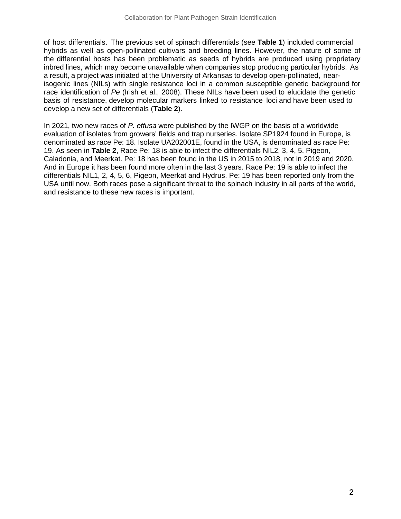of host differentials. The previous set of spinach differentials (see **Table 1**) included commercial hybrids as well as open-pollinated cultivars and breeding lines. However, the nature of some of the differential hosts has been problematic as seeds of hybrids are produced using proprietary inbred lines, which may become unavailable when companies stop producing particular hybrids. As a result, a project was initiated at the University of Arkansas to develop open-pollinated, nearisogenic lines (NILs) with single resistance loci in a common susceptible genetic background for race identification of *Pe* (Irish et al., 2008). These NILs have been used to elucidate the genetic basis of resistance, develop molecular markers linked to resistance loci and have been used to develop a new set of differentials (**Table 2**).

In 2021, two new races of *P. effusa* were published by the IWGP on the basis of a worldwide evaluation of isolates from growers' fields and trap nurseries. Isolate SP1924 found in Europe, is denominated as race Pe: 18. Isolate UA202001E, found in the USA, is denominated as race Pe: 19. As seen in **Table 2**, Race Pe: 18 is able to infect the differentials NIL2, 3, 4, 5, Pigeon, Caladonia, and Meerkat. Pe: 18 has been found in the US in 2015 to 2018, not in 2019 and 2020. And in Europe it has been found more often in the last 3 years. Race Pe: 19 is able to infect the differentials NIL1, 2, 4, 5, 6, Pigeon, Meerkat and Hydrus. Pe: 19 has been reported only from the USA until now. Both races pose a significant threat to the spinach industry in all parts of the world, and resistance to these new races is important.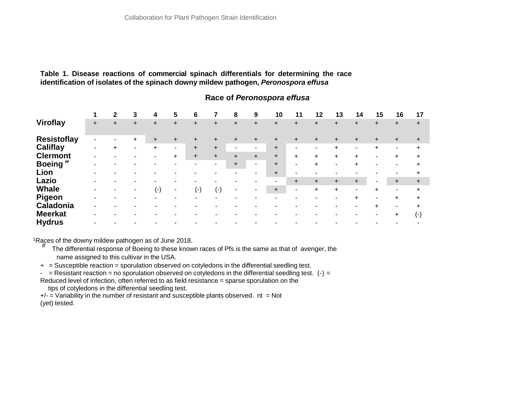#### **Table 1. Disease reactions of commercial spinach differentials for determining the race identification of isolates of the spinach downy mildew pathogen,** *Peronospora effusa*

|                    |       |           | 3              | 4         | 5                        | 6                        |           | 8         | 9     | 10        | 11                       | 12        | 13             | 14                       | 15        | 16        | 17        |
|--------------------|-------|-----------|----------------|-----------|--------------------------|--------------------------|-----------|-----------|-------|-----------|--------------------------|-----------|----------------|--------------------------|-----------|-----------|-----------|
| Viroflay           | $\pm$ | $\ddot{}$ | $+$            | $+$       | $\ddot{}$                | $+$                      | $\ddot{}$ | $\ddot{}$ | $\pm$ | $+$       | $\ddot{}$                | $\ddot{}$ | $\ddot{}$      | $\ddot{}$                |           | $\pm$     | $\ddot{}$ |
| <b>Resistoflay</b> |       |           | $\pm$          | $\ddot{}$ | $\ddot{}$                | $\ddot{}$                | ÷         | +         | ÷.    |           |                          | $\ddot{}$ |                | $\pm$                    |           |           |           |
| Califlay           | -     | $\ddot{}$ | $\blacksquare$ | $\ddot{}$ | $\blacksquare$           | $+$                      | $+$       |           | н.    | $\ddot{}$ | $\overline{\phantom{0}}$ | ٠         | $\ddot{}$      |                          | $+$       |           |           |
| <b>Clermont</b>    |       |           |                |           | $+$                      | $+$                      | $+$       | $+$       | $+$   | $+$       | $+$                      | $\ddot{}$ | $+$            | $\pm$                    |           | $\pm$     | +         |
| Boeing $#$         |       |           |                |           | $\overline{\phantom{0}}$ | $\overline{\phantom{a}}$ | $\sim$    | $+$       | н.    | $+$       | $\tilde{\phantom{a}}$    | $\ddot{}$ | $\blacksquare$ | $\ddot{}$                |           |           |           |
| Lion               |       |           |                |           |                          |                          |           |           | ٠.    | $+$       | $\overline{\phantom{a}}$ | ۰         | $\blacksquare$ |                          |           |           |           |
| Lazio              |       |           |                |           |                          |                          |           |           |       |           | $+$                      | $\ddot{}$ | $+$            | $\ddot{}$                |           |           | $\ddot{}$ |
| <b>Whale</b>       |       |           |                | ( - )     | $\blacksquare$           | $(-)$                    | $(-)$     | ٠         |       | $+$       | $\blacksquare$           | $\ddot{}$ | $\ddot{}$      | $\overline{\phantom{0}}$ | $\ddot{}$ |           |           |
| <b>Pigeon</b>      |       |           |                |           |                          | -                        |           |           |       |           |                          |           |                | ÷.                       |           | $\ddot{}$ |           |
| Caladonia          |       |           |                |           |                          |                          |           |           |       |           |                          |           |                |                          | $+$       |           |           |
| <b>Meerkat</b>     |       |           |                |           |                          |                          |           |           |       |           |                          |           |                |                          |           | $\pm$     | $(\cdot)$ |
| <b>Hydrus</b>      |       |           |                |           |                          |                          |           |           |       |           |                          |           |                |                          |           |           |           |

## **Race of** *Peronospora effusa*

<sup>1</sup>Races of the downy mildew pathogen as of June 2018.<br>  $\frac{H}{l}$  The differential respects of Booing to these know

- The differential response of Boeing to these known races of Pfs is the same as that of avenger, the name assigned to this cultivar in the USA.
- + = Susceptible reaction = sporulation observed on cotyledons in the differential seedling test.
- $-$  = Resistant reaction = no sporulation observed on cotyledons in the differential seedling test. (-) = Reduced level of infection, often referred to as field resistance = sparse sporulation on the

tips of cotyledons in the differential seedling test.

 $+/-$  = Variability in the number of resistant and susceptible plants observed. nt = Not (yet) tested.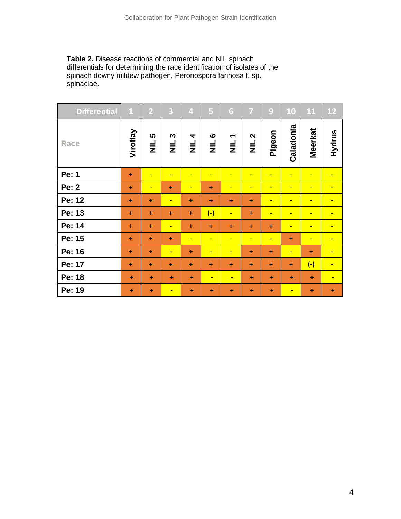**Table 2.** Disease reactions of commercial and NIL spinach differentials for determining the race identification of isolates of the spinach downy mildew pathogen, Peronospora farinosa f. sp. spinaciae.

| <b>Differential</b> | $\mathbf 1$ | $\overline{2}$ | 3              | $\overline{\mathbf{4}}$ | 5                   | 6                                    | 7                             | 9              | 10             | 11                   | <b>12</b>      |
|---------------------|-------------|----------------|----------------|-------------------------|---------------------|--------------------------------------|-------------------------------|----------------|----------------|----------------------|----------------|
| Race                | Viroflay    | 5<br>$\equiv$  | S<br>$\equiv$  | 4<br>$\equiv$           | $\circ$<br>$\equiv$ | $\overline{\phantom{0}}$<br>$\equiv$ | $\mathbf{\Omega}$<br>$\equiv$ | Pigeon         | Caladonia      | <b>Meerkat</b>       | Hydrus         |
| Pe: 1               | $\ddot{}$   | $\blacksquare$ | $\blacksquare$ | $\blacksquare$          | $\blacksquare$      | $\blacksquare$                       | $\blacksquare$                | $\blacksquare$ | $\blacksquare$ | $\blacksquare$       | $\blacksquare$ |
| <b>Pe: 2</b>        | $\ddot{}$   | $\blacksquare$ | $\ddot{}$      | $\blacksquare$          | $\ddot{}$           | $\blacksquare$                       | $\blacksquare$                | $\blacksquare$ | $\blacksquare$ | $\blacksquare$       | $\blacksquare$ |
| Pe: 12              | $\ddot{}$   | $\ddot{}$      | $\blacksquare$ | $\ddot{}$               | ÷                   | $\ddot{}$                            | ÷                             | $\blacksquare$ | $\blacksquare$ | $\blacksquare$       | $\blacksquare$ |
| Pe: 13              | $\ddot{}$   | $\ddot{}$      | $\ddot{}$      | $\ddot{}$               | $\overline{(-)}$    | $\blacksquare$                       | $\ddot{}$                     | $\blacksquare$ | $\blacksquare$ | $\blacksquare$       | $\blacksquare$ |
| Pe: 14              | $\ddot{}$   | $\ddot{}$      | $\blacksquare$ | $\ddot{}$               | $\ddot{}$           | $\ddot{}$                            | $\ddot{}$                     | ÷              | $\blacksquare$ | $\blacksquare$       | $\blacksquare$ |
| Pe: 15              | $\ddot{}$   | $\ddot{}$      | $\ddot{}$      | $\blacksquare$          | $\blacksquare$      | $\blacksquare$                       | $\blacksquare$                | $\blacksquare$ | $\ddot{}$      | $\blacksquare$       | $\blacksquare$ |
| Pe: 16              | $\ddot{}$   | $\ddot{}$      | $\blacksquare$ | $\ddot{}$               | $\blacksquare$      | $\blacksquare$                       | $\ddot{}$                     | ÷              | $\blacksquare$ | $\ddot{}$            | $\blacksquare$ |
| Pe: 17              | $\ddot{}$   | $\ddot{}$      | $\ddot{}$      | ÷                       | $\ddot{}$           | $\ddot{}$                            | $\ddot{}$                     | $\ddot{}$      | $\ddot{}$      | $\overline{(\cdot)}$ | $\blacksquare$ |
| Pe: 18              | $\ddot{}$   | ÷              | $\ddot{}$      | $\ddot{}$               | $\blacksquare$      | $\blacksquare$                       | ÷                             | $\ddot{}$      | ÷              | $+$                  | $\blacksquare$ |
| Pe: 19              | $\ddot{}$   | $\ddot{}$      | $\blacksquare$ | ÷                       | $\ddot{}$           | $\ddot{}$                            | $\ddot{}$                     | $\ddot{}$      | $\blacksquare$ | $\ddot{}$            | $\ddot{}$      |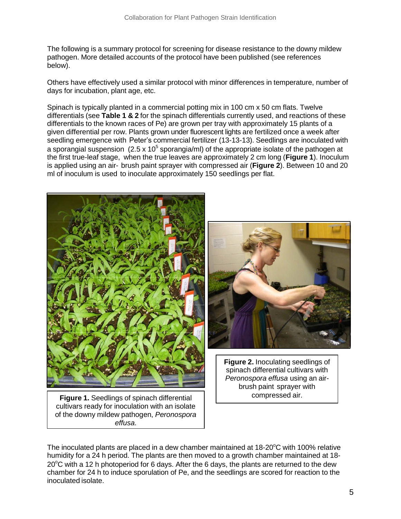The following is a summary protocol for screening for disease resistance to the downy mildew pathogen. More detailed accounts of the protocol have been published (see references below).

Others have effectively used a similar protocol with minor differences in temperature, number of days for incubation, plant age, etc.

Spinach is typically planted in a commercial potting mix in 100 cm x 50 cm flats. Twelve differentials (see **Table 1 & 2** for the spinach differentials currently used, and reactions of these differentials to the known races of Pe) are grown per tray with approximately 15 plants of a given differential per row. Plants grown under fluorescent lights are fertilized once a week after seedling emergence with Peter's commercial fertilizer (13-13-13). Seedlings are inoculated with a sporangial suspension (2.5 x 10<sup>5</sup> sporangia/ml) of the appropriate isolate of the pathogen at the first true-leaf stage, when the true leaves are approximately 2 cm long (**Figure 1**). Inoculum is applied using an air- brush paint sprayer with compressed air (**Figure 2**). Between 10 and 20 ml of inoculum is used to inoculate approximately 150 seedlings per flat.





**Figure 2.** Inoculating seedlings of spinach differential cultivars with *Peronospora effusa* using an airbrush paint sprayer with

compressed air. **Figure 1.** Seedlings of spinach differential cultivars ready for inoculation with an isolate of the downy mildew pathogen, *Peronospora effusa*.

The inoculated plants are placed in a dew chamber maintained at  $18\text{-}20^{\circ}\text{C}$  with 100% relative humidity for a 24 h period. The plants are then moved to a growth chamber maintained at 18-  $20^{\circ}$ C with a 12 h photoperiod for 6 days. After the 6 days, the plants are returned to the dew chamber for 24 h to induce sporulation of Pe, and the seedlings are scored for reaction to the inoculated isolate.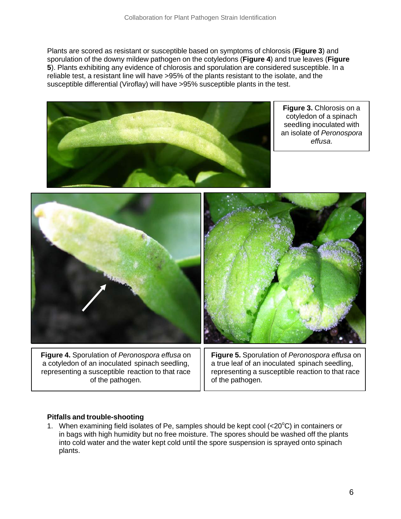Plants are scored as resistant or susceptible based on symptoms of chlorosis (**Figure 3**) and sporulation of the downy mildew pathogen on the cotyledons (**Figure 4**) and true leaves (**Figure 5**). Plants exhibiting any evidence of chlorosis and sporulation are considered susceptible. In a reliable test, a resistant line will have >95% of the plants resistant to the isolate, and the susceptible differential (Viroflay) will have >95% susceptible plants in the test.



**Figure 3.** Chlorosis on a cotyledon of a spinach seedling inoculated with an isolate of *Peronospora effusa*.



a cotyledon of an inoculated spinach seedling, representing a susceptible reaction to that race of the pathogen.

a true leaf of an inoculated spinach seedling, representing a susceptible reaction to that race of the pathogen.

## **Pitfalls and trouble-shooting**

1. When examining field isolates of Pe, samples should be kept cool ( $<20^{\circ}$ C) in containers or in bags with high humidity but no free moisture. The spores should be washed off the plants into cold water and the water kept cold until the spore suspension is sprayed onto spinach plants.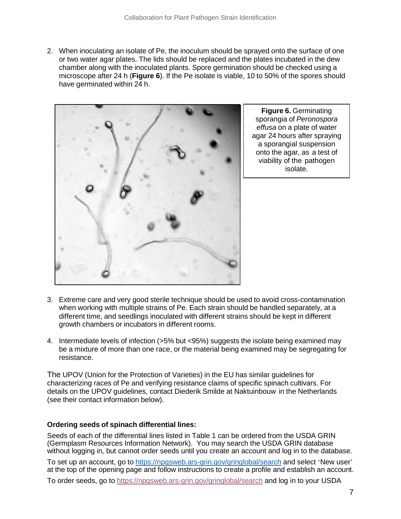2. When inoculating an isolate of Pe, the inoculum should be sprayed onto the surface of one or two water agar plates. The lids should be replaced and the plates incubated in the dew chamber along with the inoculated plants. Spore germination should be checked using a microscope after 24 h (**Figure 6**). If the Pe isolate is viable, 10 to 50% of the spores should have germinated within 24 h.



**Figure 6.** Germinating sporangia of *Peronospora effusa* on a plate of water agar 24 hours after spraying a sporangial suspension onto the agar, as a test of viability of the pathogen isolate.

- 3. Extreme care and very good sterile technique should be used to avoid cross-contamination when working with multiple strains of Pe. Each strain should be handled separately, at a different time, and seedlings inoculated with different strains should be kept in different growth chambers or incubators in different rooms.
- 4. Intermediate levels of infection (>5% but <95%) suggests the isolate being examined may be a mixture of more than one race, or the material being examined may be segregating for resistance.

The UPOV (Union for the Protection of Varieties) in the EU has similar guidelines for characterizing races of Pe and verifying resistance claims of specific spinach cultivars. For details on the UPOV guidelines, contact Diederik Smilde at Naktuinbouw in the Netherlands (see their contact information below).

## **Ordering seeds of spinach differential lines:**

Seeds of each of the differential lines listed in Table 1 can be ordered from the USDA GRIN (Germplasm Resources Information Network). You may search the USDA GRIN database without logging in, but cannot order seeds until you create an account and log in to the database. To set up an account, go to [https://npgsweb.ars-grin.gov/gringlobal/search](https://npgsweb.ars-grin.gov/gringlobal/search.) and select 'New user' at the top of the opening page and follow instructions to create a profile and establish an account.

To order seeds, go to<https://npgsweb.ars-grin.gov/gringlobal/search> and log in to your USDA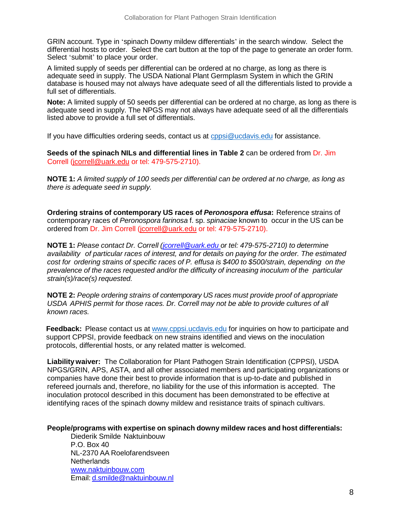GRIN account. Type in 'spinach Downy mildew differentials' in the search window. Select the differential hosts to order. Select the cart button at the top of the page to generate an order form. Select 'submit' to place your order.

A limited supply of seeds per differential can be ordered at no charge, as long as there is adequate seed in supply. The USDA National Plant Germplasm System in which the GRIN database is housed may not always have adequate seed of all the differentials listed to provide a full set of differentials.

**Note:** A limited supply of 50 seeds per differential can be ordered at no charge, as long as there is adequate seed in supply. The NPGS may not always have adequate seed of all the differentials listed above to provide a full set of differentials.

If you have difficulties ordering seeds, contact us at [cppsi@ucdavis.edu](mailto:cppsi@ucdavis.edu) for assistance.

 **Seeds of the spinach NILs and differential lines in Table 2** can be ordered from Dr. Jim Correll [\(jcorrell@uark.edu](mailto:jcorrell@uark.edu) or tel: 479-575-2710).

NOTE 1: A limited supply of 100 seeds per differential can be ordered at no charge, as long as *there is adequate seed in supply.*

**Ordering strains of contemporary US races of** *Peronospora effusa***:** Reference strains of contemporary races of *Peronospora farinosa* f. sp. *spinaciae* known to occur in the US can be ordered from Dr. Jim Correll [\(jcorrell@uark.edu](mailto:jcorrell@uark.edu) or tel: 479-575-2710).

**NOTE 1:** *Please contact Dr. Correll [\(jcorrell@uark.edu](mailto:jcorrell@uark.edu) or tel: 479-575-2710) to determine availability of particular races of interest, and for details on paying for the order. The estimated cost for ordering strains of specific races of P. effusa is \$400 to \$500/strain, depending on the prevalence of the races requested and/or the difficulty of increasing inoculum of the particular strain(s)/race(s) requested.*

**NOTE 2:** *People ordering strains of contemporary US races must provide proof of appropriate USDA APHIS permit for those races. Dr. Correll may not be able to provide cultures of all known races.*

**Feedback:** Please contact us at [www.cppsi.ucdavis.edu](http://www.cppsi.ucdavis.edu/) for inquiries on how to participate and support CPPSI, provide feedback on new strains identified and views on the inoculation protocols, differential hosts, or any related matter is welcomed.

**Liability waiver:** The Collaboration for Plant Pathogen Strain Identification (CPPSI), USDA NPGS/GRIN, APS, ASTA, and all other associated members and participating organizations or companies have done their best to provide information that is up-to-date and published in refereed journals and, therefore, no liability for the use of this information is accepted. The inoculation protocol described in this document has been demonstrated to be effective at identifying races of the spinach downy mildew and resistance traits of spinach cultivars.

## **People/programs with expertise on spinach downy mildew races and host differentials:**

Diederik Smilde Naktuinbouw P.O. Box 40 NL-2370 AA Roelofarendsveen **Netherlands** [www.naktuinbouw.com](http://www.naktuinbouw.com/) Email: [d.smilde@naktuinbouw.nl](mailto:d.smilde@naktuinbouw.nl)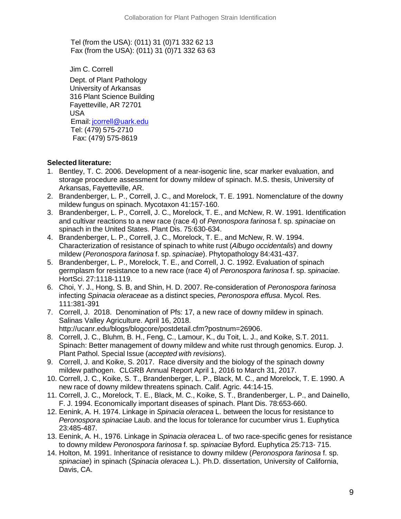Tel (from the USA): (011) 31 (0)71 332 62 13 Fax (from the USA): (011) 31 (0)71 332 63 63

Jim C. Correll

Dept. of Plant Pathology University of Arkansas 316 Plant Science Building Fayetteville, AR 72701 USA Email: [jcorrell@uark.edu](mailto:jcorrell@uark.edu) Tel: (479) 575-2710 Fax: (479) 575-8619

## **Selected literature:**

- 1. Bentley, T. C. 2006. Development of a near-isogenic line, scar marker evaluation, and storage procedure assessment for downy mildew of spinach. M.S. thesis, University of Arkansas, Fayetteville, AR.
- 2. Brandenberger, L. P., Correll, J. C., and Morelock, T. E. 1991. Nomenclature of the downy mildew fungus on spinach. Mycotaxon 41:157-160.
- 3. Brandenberger, L. P., Correll, J. C., Morelock, T. E., and McNew, R. W. 1991. Identification and cultivar reactions to a new race (race 4) of *Peronospora farinosa* f. sp. *spinaciae* on spinach in the United States. Plant Dis. 75:630-634.
- 4. Brandenberger, L. P., Correll, J. C., Morelock, T. E., and McNew, R. W. 1994. Characterization of resistance of spinach to white rust (*Albugo occidentalis*) and downy mildew (*Peronospora farinosa* f. sp. *spinaciae*). Phytopathology 84:431-437.
- 5. Brandenberger, L. P., Morelock, T. E., and Correll, J. C. 1992. Evaluation of spinach germplasm for resistance to a new race (race 4) of *Peronospora farinosa* f. sp. *spinaciae*. HortSci. 27:1118-1119.
- 6. Choi, Y. J., Hong, S. B, and Shin, H. D. 2007. Re-consideration of *Peronospora farinosa* infecting *Spinacia oleraceae* as a distinct species, *Peronospora effusa*. Mycol. Res. 111:381-391
- 7. Correll, J. 2018. Denomination of Pfs: 17, a new race of downy mildew in spinach. Salinas Valley Agriculture. April 16, 2018. http://ucanr.edu/blogs/blogcore/postdetail.cfm?postnum=26906.
- 8. Correll, J. C., Bluhm, B. H., Feng, C., Lamour, K., du Toit, L. J., and Koike, S.T. 2011. Spinach: Better management of downy mildew and white rust through genomics. Europ. J. Plant Pathol. Special Issue (*accepted with revisions*).
- 9. Correll, J. and Koike, S. 2017. Race diversity and the biology of the spinach downy mildew pathogen. CLGRB Annual Report April 1, 2016 to March 31, 2017.
- 10. Correll, J. C., Koike, S. T., Brandenberger, L. P., Black, M. C., and Morelock, T. E. 1990. A new race of downy mildew threatens spinach. Calif. Agric. 44:14-15.
- 11. Correll, J. C., Morelock, T. E., Black, M. C., Koike, S. T., Brandenberger, L. P., and Dainello, F. J. 1994. Economically important diseases of spinach. Plant Dis. 78:653-660.
- 12. Eenink, A. H. 1974. Linkage in *Spinacia oleracea* L. between the locus for resistance to *Peronospora spinaciae* Laub. and the locus for tolerance for cucumber virus 1. Euphytica 23:485-487.
- 13. Eenink, A. H., 1976. Linkage in *Spinacia oleracea* L. of two race-specific genes for resistance to downy mildew *Peronospora farinosa* f. sp. *spinaciae* Byford. Euphytica 25:713- 715.
- 14. Holton, M. 1991. Inheritance of resistance to downy mildew (*Peronospora farinosa* f. sp. *spinaciae*) in spinach (*Spinacia oleracea* L.). Ph.D. dissertation, University of California, Davis, CA.